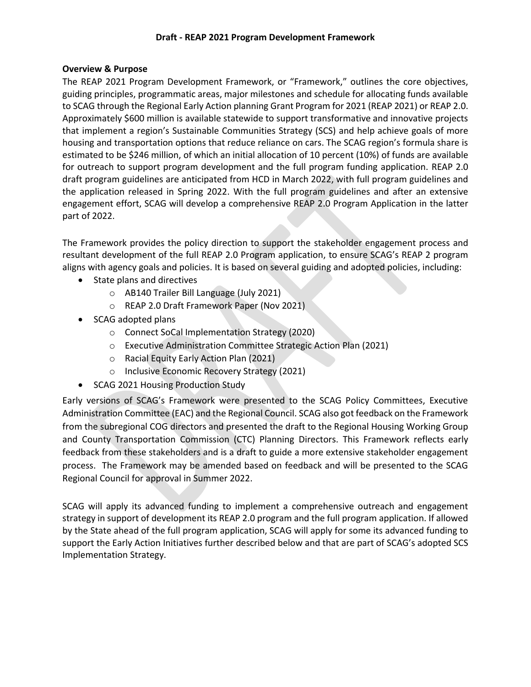#### **Overview & Purpose**

The REAP 2021 Program Development Framework, or "Framework," outlines the core objectives, guiding principles, programmatic areas, major milestones and schedule for allocating funds available to SCAG through the Regional Early Action planning Grant Program for 2021 (REAP 2021) or REAP 2.0. Approximately \$600 million is available statewide to support transformative and innovative projects that implement a region's Sustainable Communities Strategy (SCS) and help achieve goals of more housing and transportation options that reduce reliance on cars. The SCAG region's formula share is estimated to be \$246 million, of which an initial allocation of 10 percent (10%) of funds are available for outreach to support program development and the full program funding application. REAP 2.0 draft program guidelines are anticipated from HCD in March 2022, with full program guidelines and the application released in Spring 2022. With the full program guidelines and after an extensive engagement effort, SCAG will develop a comprehensive REAP 2.0 Program Application in the latter part of 2022.

The Framework provides the policy direction to support the stakeholder engagement process and resultant development of the full REAP 2.0 Program application, to ensure SCAG's REAP 2 program aligns with agency goals and policies. It is based on several guiding and adopted policies, including:

- State plans and directives
	- o AB140 Trailer Bill Language (July 2021)
	- o REAP 2.0 Draft Framework Paper (Nov 2021)
- SCAG adopted plans
	- o Connect SoCal Implementation Strategy (2020)
	- o Executive Administration Committee Strategic Action Plan (2021)
	- o Racial Equity Early Action Plan (2021)
	- o Inclusive Economic Recovery Strategy (2021)
- SCAG 2021 Housing Production Study

Early versions of SCAG's Framework were presented to the SCAG Policy Committees, Executive Administration Committee (EAC) and the Regional Council. SCAG also got feedback on the Framework from the subregional COG directors and presented the draft to the Regional Housing Working Group and County Transportation Commission (CTC) Planning Directors. This Framework reflects early feedback from these stakeholders and is a draft to guide a more extensive stakeholder engagement process. The Framework may be amended based on feedback and will be presented to the SCAG Regional Council for approval in Summer 2022.

SCAG will apply its advanced funding to implement a comprehensive outreach and engagement strategy in support of development its REAP 2.0 program and the full program application. If allowed by the State ahead of the full program application, SCAG will apply for some its advanced funding to support the Early Action Initiatives further described below and that are part of SCAG's adopted SCS Implementation Strategy.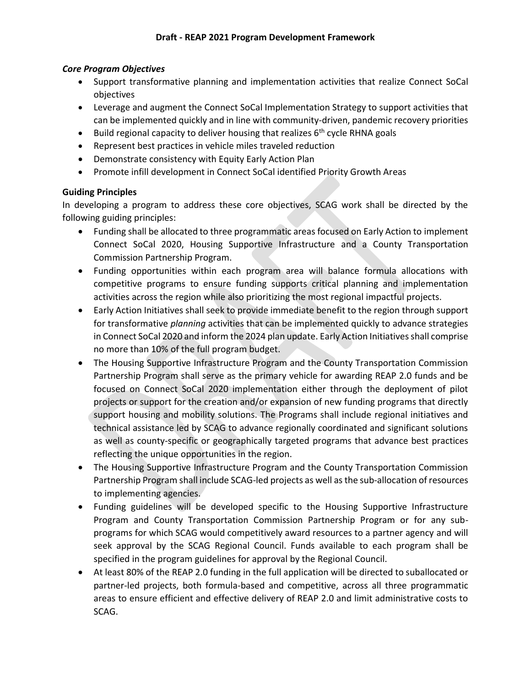### *Core Program Objectives*

- Support transformative planning and implementation activities that realize Connect SoCal objectives
- Leverage and augment the Connect SoCal Implementation Strategy to support activities that can be implemented quickly and in line with community-driven, pandemic recovery priorities
- Build regional capacity to deliver housing that realizes  $6<sup>th</sup>$  cycle RHNA goals
- Represent best practices in vehicle miles traveled reduction
- Demonstrate consistency with Equity Early Action Plan
- Promote infill development in Connect SoCal identified Priority Growth Areas

## **Guiding Principles**

In developing a program to address these core objectives, SCAG work shall be directed by the following guiding principles:

- Funding shall be allocated to three programmatic areas focused on Early Action to implement Connect SoCal 2020, Housing Supportive Infrastructure and a County Transportation Commission Partnership Program.
- Funding opportunities within each program area will balance formula allocations with competitive programs to ensure funding supports critical planning and implementation activities across the region while also prioritizing the most regional impactful projects.
- Early Action Initiatives shall seek to provide immediate benefit to the region through support for transformative *planning* activities that can be implemented quickly to advance strategies in Connect SoCal 2020 and inform the 2024 plan update. Early Action Initiatives shall comprise no more than 10% of the full program budget.
- The Housing Supportive Infrastructure Program and the County Transportation Commission Partnership Program shall serve as the primary vehicle for awarding REAP 2.0 funds and be focused on Connect SoCal 2020 implementation either through the deployment of pilot projects or support for the creation and/or expansion of new funding programs that directly support housing and mobility solutions. The Programs shall include regional initiatives and technical assistance led by SCAG to advance regionally coordinated and significant solutions as well as county-specific or geographically targeted programs that advance best practices reflecting the unique opportunities in the region.
- The Housing Supportive Infrastructure Program and the County Transportation Commission Partnership Program shall include SCAG-led projects as well as the sub-allocation of resources to implementing agencies.
- Funding guidelines will be developed specific to the Housing Supportive Infrastructure Program and County Transportation Commission Partnership Program or for any subprograms for which SCAG would competitively award resources to a partner agency and will seek approval by the SCAG Regional Council. Funds available to each program shall be specified in the program guidelines for approval by the Regional Council.
- At least 80% of the REAP 2.0 funding in the full application will be directed to suballocated or partner-led projects, both formula-based and competitive, across all three programmatic areas to ensure efficient and effective delivery of REAP 2.0 and limit administrative costs to SCAG.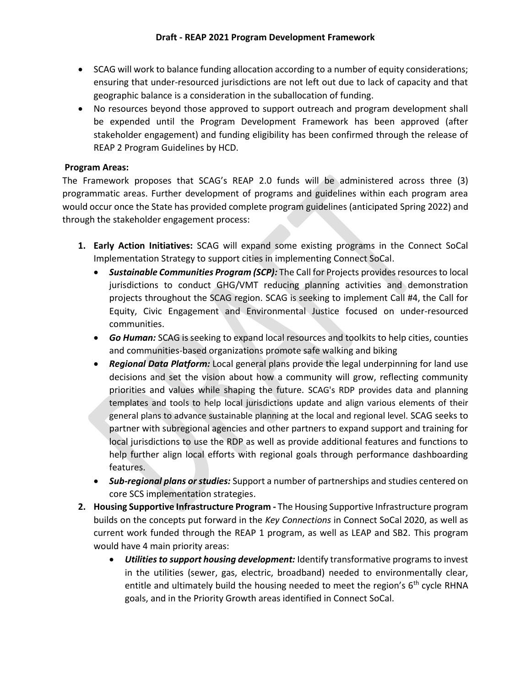- SCAG will work to balance funding allocation according to a number of equity considerations; ensuring that under-resourced jurisdictions are not left out due to lack of capacity and that geographic balance is a consideration in the suballocation of funding.
- No resources beyond those approved to support outreach and program development shall be expended until the Program Development Framework has been approved (after stakeholder engagement) and funding eligibility has been confirmed through the release of REAP 2 Program Guidelines by HCD.

#### **Program Areas:**

The Framework proposes that SCAG's REAP 2.0 funds will be administered across three (3) programmatic areas. Further development of programs and guidelines within each program area would occur once the State has provided complete program guidelines (anticipated Spring 2022) and through the stakeholder engagement process:

- **1. Early Action Initiatives:** SCAG will expand some existing programs in the Connect SoCal Implementation Strategy to support cities in implementing Connect SoCal.
	- *Sustainable Communities Program (SCP):* The Call for Projects provides resources to local jurisdictions to conduct GHG/VMT reducing planning activities and demonstration projects throughout the SCAG region. SCAG is seeking to implement Call #4, the Call for Equity, Civic Engagement and Environmental Justice focused on under-resourced communities.
	- *Go Human:* SCAG is seeking to expand local resources and toolkits to help cities, counties and communities-based organizations promote safe walking and biking
	- *Regional Data Platform:* Local general plans provide the legal underpinning for land use decisions and set the vision about how a community will grow, reflecting community priorities and values while shaping the future. SCAG's RDP provides data and planning templates and tools to help local jurisdictions update and align various elements of their general plans to advance sustainable planning at the local and regional level. SCAG seeks to partner with subregional agencies and other partners to expand support and training for local jurisdictions to use the RDP as well as provide additional features and functions to help further align local efforts with regional goals through performance dashboarding features.
	- *Sub-regional plans or studies:* Support a number of partnerships and studies centered on core SCS implementation strategies.
- **2. Housing Supportive Infrastructure Program -** The Housing Supportive Infrastructure program builds on the concepts put forward in the *Key Connections* in Connect SoCal 2020, as well as current work funded through the REAP 1 program, as well as LEAP and SB2. This program would have 4 main priority areas:
	- *Utilities to support housing development:* Identify transformative programs to invest in the utilities (sewer, gas, electric, broadband) needed to environmentally clear, entitle and ultimately build the housing needed to meet the region's  $6<sup>th</sup>$  cycle RHNA goals, and in the Priority Growth areas identified in Connect SoCal.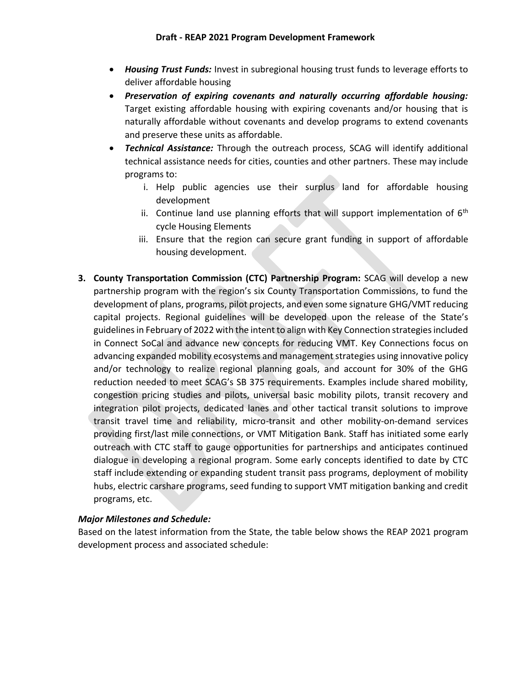- *Housing Trust Funds:* Invest in subregional housing trust funds to leverage efforts to deliver affordable housing
- *Preservation of expiring covenants and naturally occurring affordable housing:* Target existing affordable housing with expiring covenants and/or housing that is naturally affordable without covenants and develop programs to extend covenants and preserve these units as affordable.
- *Technical Assistance:* Through the outreach process, SCAG will identify additional technical assistance needs for cities, counties and other partners. These may include programs to:
	- i. Help public agencies use their surplus land for affordable housing development
	- ii. Continue land use planning efforts that will support implementation of  $6<sup>th</sup>$ cycle Housing Elements
	- iii. Ensure that the region can secure grant funding in support of affordable housing development.
- **3. County Transportation Commission (CTC) Partnership Program:** SCAG will develop a new partnership program with the region's six County Transportation Commissions, to fund the development of plans, programs, pilot projects, and even some signature GHG/VMT reducing capital projects. Regional guidelines will be developed upon the release of the State's guidelines in February of 2022 with the intent to align with Key Connection strategies included in Connect SoCal and advance new concepts for reducing VMT. Key Connections focus on advancing expanded mobility ecosystems and management strategies using innovative policy and/or technology to realize regional planning goals, and account for 30% of the GHG reduction needed to meet SCAG's SB 375 requirements. Examples include shared mobility, congestion pricing studies and pilots, universal basic mobility pilots, transit recovery and integration pilot projects, dedicated lanes and other tactical transit solutions to improve transit travel time and reliability, micro-transit and other mobility-on-demand services providing first/last mile connections, or VMT Mitigation Bank. Staff has initiated some early outreach with CTC staff to gauge opportunities for partnerships and anticipates continued dialogue in developing a regional program. Some early concepts identified to date by CTC staff include extending or expanding student transit pass programs, deployment of mobility hubs, electric carshare programs, seed funding to support VMT mitigation banking and credit programs, etc.

#### *Major Milestones and Schedule:*

Based on the latest information from the State, the table below shows the REAP 2021 program development process and associated schedule: